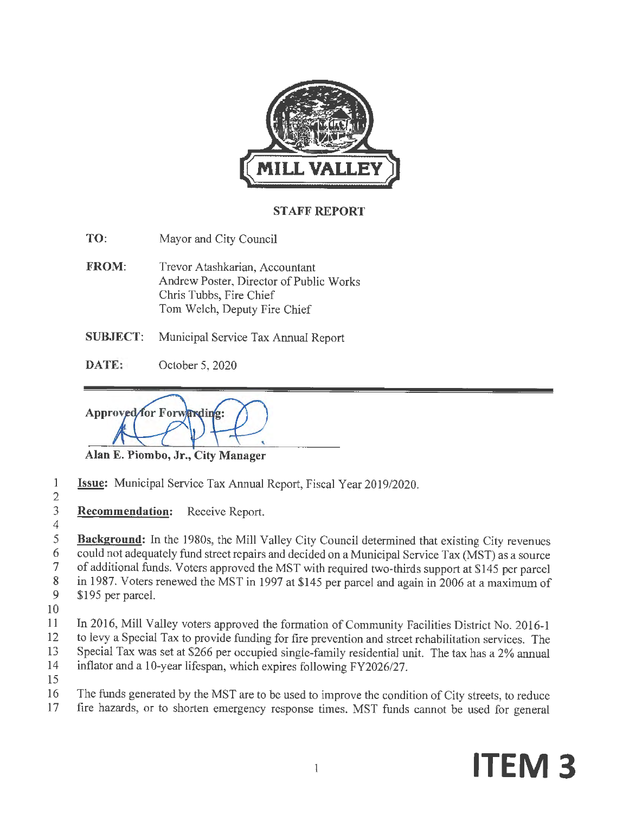

#### **STAFF REPORT**

- **TO:** Mayor and City Council
- **FROM:** Trevor Atashkarian, Accountant Andrew Poster, Director of Public Works Chris Tubbs, Fire Chief Tom Welch, Deputy Fire Chief
- **SUBJECT:** Municipal Service Tax Annual Report
- **DATE:** October 5, 2020

Approved for Forwarding:

**Alan E. Piombo, Jr., City Manager** 

- 1 **Issue:** Municipal Service Tax Annual Report, Fiscal Year 2019/2020.
- 2

4

3 **Recommendation:** Receive Report.

5 **Background:** In the 1980s, the Mill Valley City Council determined that existing City revenues 6 could not adequately fund street repairs and decided on a Municipal Service Tax (MST) as a source<br>7 of additional funds. Voters approved the MST with required two-thirds support at \$145 per parcel 7 of additional funds. Voters approved the MST with required two-thirds support at \$145 per parcel 8 in 1987. Voters renewed the MST in 1997 at \$145 per parcel and again in 2006 at a maximum of 9 \$195 per parcel.

- 10
- **11** In 2016, Mill Valley voters approved the formation of Community Facilities District No. 2016-1 12 to levy a Special Tax to provide funding for fire prevention and street rehabilitation services. The 13 Special Tax was set at \$266 per occupied single-family residential unit. The tax has a 2% annual
- 14 inflater and a 10-year lifespan, which expires following FY2026/27.
- 15
- 16 The funds generated by the MST are to be used to improve the condition of City streets, to reduce
- 17 fire hazards, or to shorten emergency response times. MST funds cannot be used for general

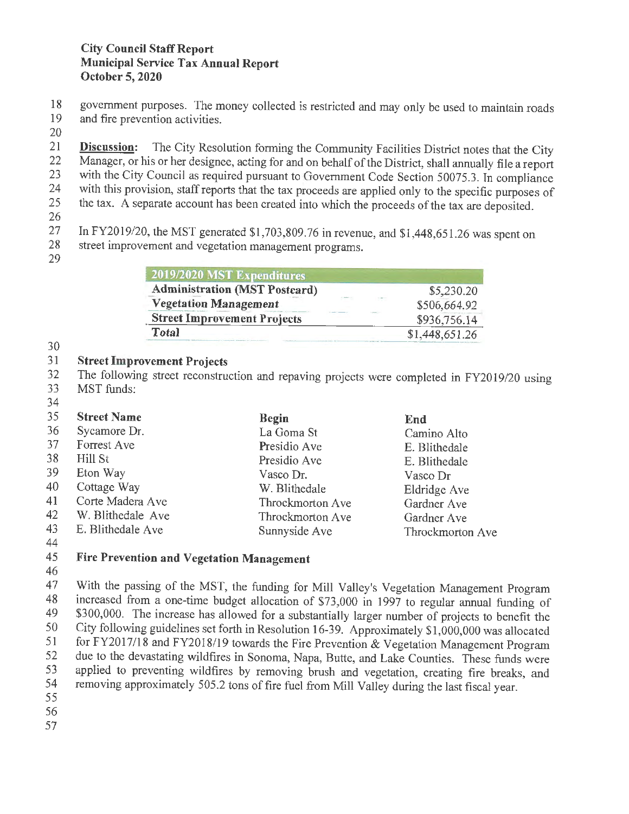18 government purposes. The money collected is restricted and may only be used to maintain roads<br>19 and fire prevention activities.

- and fire prevention activities.
- 20

21 **Discussion:** The City Resolution forming the Community Facilities District notes that the City<br>22 Manager, or his or her designee, acting for and on behalf of the District, shall annually file a report 22 Manager, or his or her designee, acting for and on behalf of the District, shall annually file a report<br>23 with the City Council as required pursuant to Government Code Section 50075.3. In compliance 23 with the City Council as required pursuant to Government Code Section 50075.3. In compliance<br>24 with this provision, staff reports that the tax proceeds are applied only to the specific purposes of 24 with this provision, staff reports that the tax proceeds are applied only to the specific purposes of the tax. A separate account has been created into which the proceeds of the tax are deposited the tax. A separate account has been created into which the proceeds of the tax are deposited. 26

27 In FY2019/20, the MST generated \$1,703,809.76 in revenue, and \$1,448,651.26 was spent on<br>28 street improvement and vegetation management programs

- street improvement and vegetation management programs.
- 29

| 2019/2020 MST Expenditures                   |                              |
|----------------------------------------------|------------------------------|
| <b>Administration (MST Postcard)</b>         | \$5,230.20                   |
| Visit Andrew<br><b>Vegetation Management</b> | No. March<br>\$506,664.92    |
| <b>Street Improvement Projects</b>           | <b>LEWAL</b><br>\$936,756.14 |
| Total                                        | \$1,448,651.26               |

30

## 31 **Street Improvement Projects**

32 The following street reconstruction and repaving projects were completed in FY2019/20 using MST funds: MST funds: 34

#### 35 36 37 38 39 40 41 42 43 44 **Street Name**  Sycamore Dr. Forrest Ave Hill St Eton Way Cottage Way Corte Madera Ave W. Blithedale Ave E. Blithedale Ave **Begin**  La Goma St Presidio Ave Presidio Ave Vasco Dr. W. Blithedale Throckmorton Ave Throckmorton Ave Sunnyside Ave **End**  Camino Alto E. Blithedale E. Blithedale Vasco Dr Eldridge Ave Gardner Ave Gardner Ave Throckmorton Ave

# 45 **Fire Prevention and Vegetation Management**

46

47 With the passing of the MST, the funding for Mill Valley's Vegetation Management Program 48 increased from a one-time budget allocation of \$73,000 in 1997 to regular annual funding of<br>49 \$300,000. The increase has allowed for a substantially larger number of projects to benefit the 49 \$300,000. The increase has allowed for a substantially larger number of projects to benefit the<br>50 City following guidelines set forth in Resolution 16-39 Approximately \$1,000,000 was allocated 50 City following guidelines set forth in Resolution 16-39. Approximately \$1,000,000 was allocated 51 for FY2017/18 and FY2018/19 towards the Fire Prevention & Vegetation Management Program 51 for FY2017/18 and FY2018/19 towards the Fire Prevention & Vegetation Management Program<br>52 due to the devastating wildfires in Sonoma Napa, Butte, and Lake Counties. These funds were 52 due to the devastating wildfires in Sonoma, Napa, Butte, and Lake Counties. These funds were<br>53 applied to preventing wildfires by removing brush and vegetation creating fire breaks, and 53 applied to preventing wildfires by removing brush and vegetation, creating fire breaks, and<br>54 removing approximately 505.2 tons of fire fuel from Mill Valley during the last fiscal year 54 removing approximately 505 .2 tons of fire fuel from Mill Valley during the last fiscal year. 55

- 56
- 57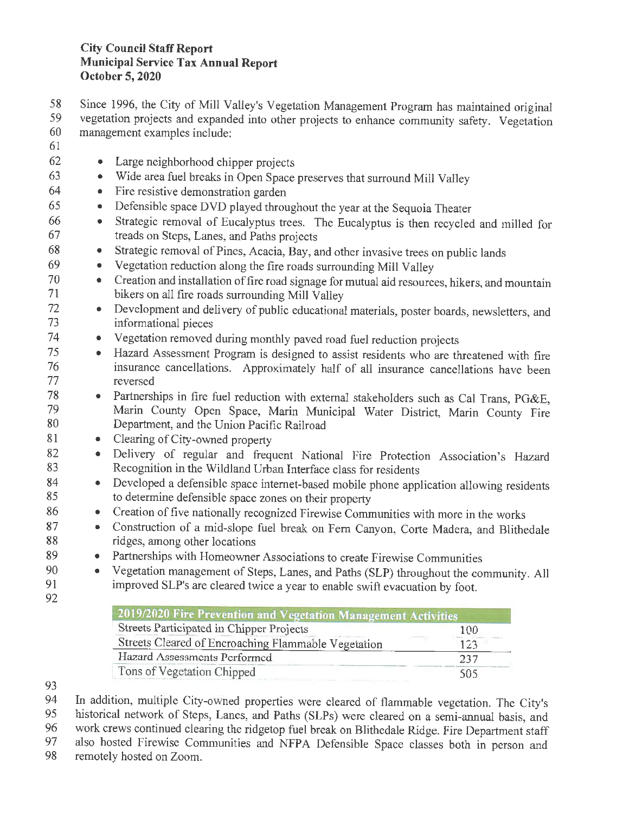58 Since 1996, the City of Mill Valley's Vegetation Management Program has maintained original<br>59 vegetation projects and expanded into other projects to enhance community safety. Vegetation 59 vegetation projects and expanded into other projects to enhance community safety. Vegetation<br>60 management examples include: management examples include:

- 61
- 62 Large neighborhood chipper projects
- 63 Wide area fuel breaks in Open Space preserves that surround Mill Valley
- 64 Fire resistive demonstration garden
- 65 Defensible space DVD played throughout the year at the Sequoia Theater
- 66 Strategic removal of Eucalyptus trees. The Eucalyptus is then recycled and milled for 67 treads on Steps, Lanes, and Paths projects
- 68 Strategic removal of Pines, Acacia, Bay, and other invasive trees on public lands
- 69 Vegetation reduction along the fire roads surrounding Mill Valley
- <sup>70</sup> Creation and installation of fire road signage for mutual aid resources, hikers, and mountain<br><sup>71</sup> bikers on all fire roads surrounding Mill Valley bikers on all fire roads surrounding Mill Valley
- <sup>72</sup> Development and delivery of public educational materials, poster boards, newsletters, and informational nieces informational pieces
- 74 Vegetation removed during monthly paved road fuel reduction projects
- <sup>75</sup> Hazard Assessment Program is designed to assist residents who are threatened with fire<br>76  **Program is designed to assist residents** who are threatened with fire 76 insurance cancellations. Approximately half of all insurance cancellations have been reversed
- <sup>78</sup> Partnerships in fire fuel reduction with external stakeholders such as Cal Trans, PG&E,<br>79 Marin County Open Space Marin Municipal Water District Marin County Fire 79 Marin County Open Space, Marin Municipal Water District, Marin County Fire<br>80 Department and the Union Pacific Railroad 80 Department, and the Union Pacific Railroad
- 81 Clearing of City-owned property
- 82 Delivery of regular and frequent National Fire Protection Association's Hazard Recognition in the Wildland Urban Interface class for residents Recognition in the Wildland Urban Interface class for residents
- 84 Developed a defensible space internet-based mobile phone application allowing residents<br>85 to determine defensible space zones on their property to determine defensible space zones on their property
- 86 Creation of five nationally recognized Firewise Communities with more in the works<br>87 Construction of a mid-slope filel break on Fern Canyon, Corte Madera, and Blithe
- Construction of a mid-slope fuel break on Fern Canyon, Corte Madera, and Blithedale 88 ridges, among other locations
- 89 Partnerships with Homeowner Associations to create Firewise Communities
- 90 Vegetation management of Steps, Lanes, and Paths (SLP) throughout the community. All<br>91 moroved SLP's are cleared twice a year to enable swift evacuation by foot improved SLP's are cleared twice a year to enable swift evacuation by foot.
- 92

| 2019/2020 Fire Prevention and Vegetation Management Activities |     |
|----------------------------------------------------------------|-----|
| Streets Participated in Chipper Projects                       | 100 |
| Streets Cleared of Encroaching Flammable Vegetation            | 123 |
| Hazard Assessments Performed                                   | 237 |
| Tons of Vegetation Chipped                                     | 505 |

93

94 In addition, multiple City-owned properties were cleared of flammable vegetation. The City's<br>95 historical network of Steps. Lanes and Paths (SLPs) were cleared on a semi-annual basis, and historical network of Steps, Lanes, and Paths (SLPs) were cleared on a semi-annual basis, and 96 work crews continued clearing the ridgetop fuel break on Blithedale Ridge. Fire Department staff<br>97 also hosted Firewise Communities and NFPA Defensible Space classes both in person and 97 also hosted Firewise Communities and NFPA Defensible Space classes both in person and remotely hosted on Zoom.

remotely hosted on Zoom.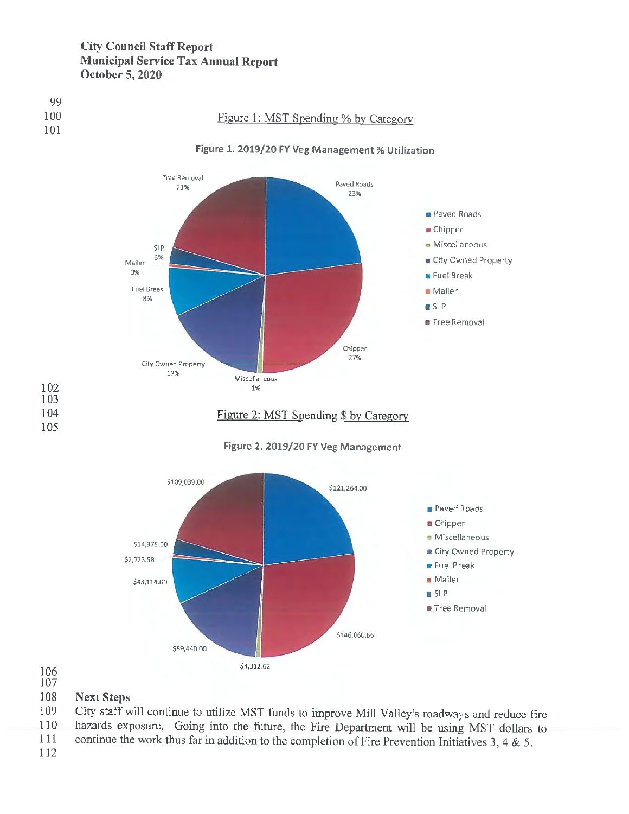



**Figure 1. 2019/20 FY Veg Management% Utilization** 





106

### 107

#### 108 **Next Steps**

109 110 City staff will continue to utilize MST funds to improve Mill Valley's roadways and reduce fire hazards exposure. Going into the future, the Fire Department will be using MST dollars to

- 111 continue the work thus far in addition to the completion of Fire Prevention Initiatives 3, 4 & 5.
- 112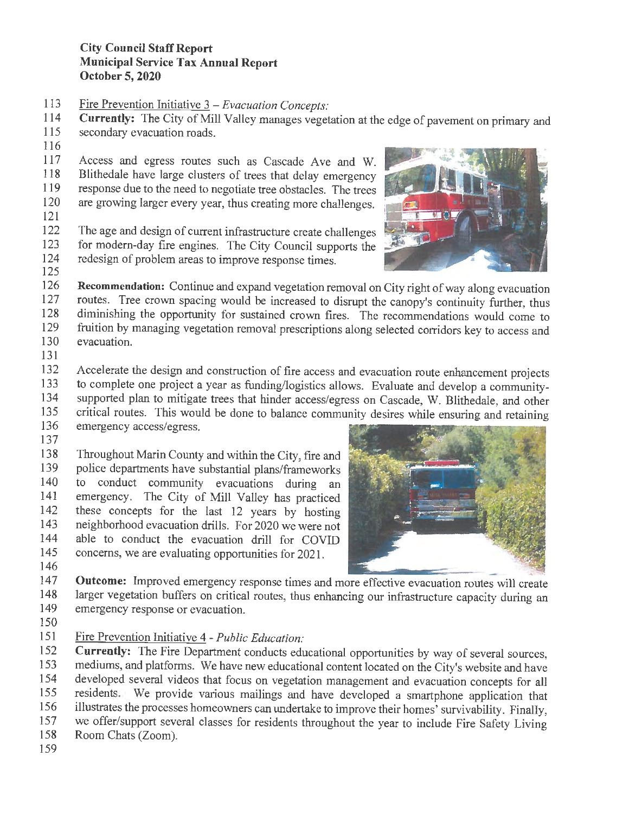- 113 Fire Prevention Initiative 3 *Evacuation Concepts:*
- 114 **Currently:** The City of Mill Valley manages vegetation at the edge of pavement on primary and secondary evacuation roads.
- secondary evacuation roads.
- 116

117 Access and egress routes such as Cascade Ave and W. 118 Blithedale have large clusters of trees that delay emergency 119 response due to the need to negotiate tree obstacles. The trees 120 are growing larger every year, thus creating more challenges.

121

122 The age and design of current infrastructure create challenges 123 for modern-day fire engines. The City Council supports the 124 redesign of problem areas to improve response times. 125



- 126 **Recommendation:** Continue and expand vegetation removal on City right of way along evacuation 127 routes. Tree crown spacing would be increased to disrupt the canopy's continuity further, thus<br>128 diminishing the opportunity for sustained crown fires. The recommendations would come to 128 diminishing the opportunity for sustained crown fires. The recommendations would come to 129 fruition by managing vegetation removal prescriptions along selected corridors key to access and 129 fruition by managing vegetation removal prescriptions along selected corridors key to access and evacuation. evacuation.
- 131

132 Accelerate the design and construction of fire access and evacuation route enhancement projects

- 133 to complete one project a year as funding/logistics allows. Evaluate and develop a community-<br>134 supported plan to mitigate trees that hinder access/egress on Cascade W. Blithedale, and other supported plan to mitigate trees that hinder access/egress on Cascade, W. Blithedale, and other
- 135 critical routes. This would be done to balance community desires while ensuring and retaining<br>136 emergency access/egress.

emergency access/egress.

137

138 Throughout Marin County and within the City, fire and<br>139 police departments have substantial plans/frameworks 139 police departments have substantial plans/frameworks<br>140 to conduct community evacuations during an to conduct community evacuations during an 141 emergency. The City of Mill Valley has practiced 142 these concepts for the last 12 years by hosting 143 neighborhood evacuation drills. For 2020 we were not 144 able to conduct the evacuation drill for COVID 145 concerns, we are evaluating opportunities for 2021. 146



147 **Outcome:** Improved emergency response times and more effective evacuation routes will create<br>148 larger vegetation buffers on critical routes thus enhancing our infrastructure canacity during an 148 larger vegetation buffers on critical routes, thus enhancing our infrastructure capacity during an emergency response or evacuation emergency response or evacuation.

- 150
- 151 Fire Prevention Initiative 4 *Public Education:*

152 **Currently:** The Fire Department conducts educational opportunities by way of several sources, 153 mediums, and platforms. We have new educational content located on the City's website and have<br>154 developed several videos that focus on vegetation management and evacuation concepts for all 154 developed several videos that focus on vegetation management and evacuation concepts for all<br>155 residents. We provide various mailings and have developed a smartphone application that 155 residents. We provide various mailings and have developed a smartphone application that 156 illustrates the processes homeowners can undertake to improve their homes' survivability. Finally, 157 we offer/support several classes for residents throughout the year to include Fire Safety Living 158 Room Chats (Zoom).

159